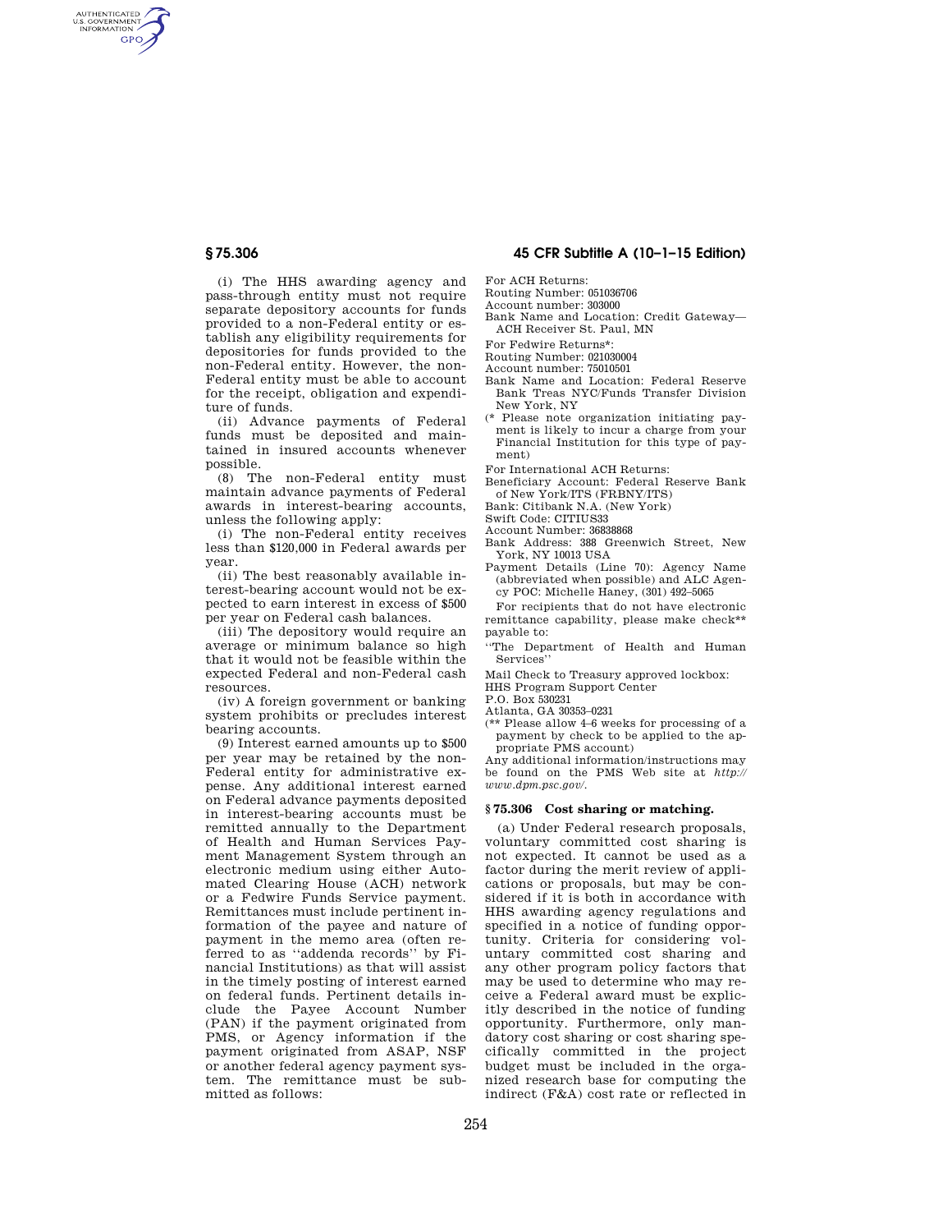AUTHENTICATED<br>U.S. GOVERNMENT<br>INFORMATION **GPO** 

> (i) The HHS awarding agency and pass-through entity must not require separate depository accounts for funds provided to a non-Federal entity or establish any eligibility requirements for depositories for funds provided to the non-Federal entity. However, the non-Federal entity must be able to account for the receipt, obligation and expenditure of funds.

> (ii) Advance payments of Federal funds must be deposited and maintained in insured accounts whenever possible.

> (8) The non-Federal entity must maintain advance payments of Federal awards in interest-bearing accounts, unless the following apply:

> (i) The non-Federal entity receives less than \$120,000 in Federal awards per year.

> (ii) The best reasonably available interest-bearing account would not be expected to earn interest in excess of \$500 per year on Federal cash balances.

> (iii) The depository would require an average or minimum balance so high that it would not be feasible within the expected Federal and non-Federal cash resources.

> (iv) A foreign government or banking system prohibits or precludes interest bearing accounts.

> (9) Interest earned amounts up to \$500 per year may be retained by the non-Federal entity for administrative expense. Any additional interest earned on Federal advance payments deposited in interest-bearing accounts must be remitted annually to the Department of Health and Human Services Payment Management System through an electronic medium using either Automated Clearing House (ACH) network or a Fedwire Funds Service payment. Remittances must include pertinent information of the payee and nature of payment in the memo area (often referred to as ''addenda records'' by Financial Institutions) as that will assist in the timely posting of interest earned on federal funds. Pertinent details include the Payee Account Number (PAN) if the payment originated from PMS, or Agency information if the payment originated from ASAP, NSF or another federal agency payment system. The remittance must be submitted as follows:

# **§ 75.306 45 CFR Subtitle A (10–1–15 Edition)**

For ACH Returns:

Routing Number: 051036706

Account number: 303000

Bank Name and Location: Credit Gateway— ACH Receiver St. Paul, MN

For Fedwire Returns\*:

Routing Number: 021030004

Account number: 75010501

- Bank Name and Location: Federal Reserve Bank Treas NYC/Funds Transfer Division New York, NY
- (\* Please note organization initiating payment is likely to incur a charge from your Financial Institution for this type of payment)

For International ACH Returns:

Beneficiary Account: Federal Reserve Bank of New York/ITS (FRBNY/ITS)

Bank: Citibank N.A. (New York)

Swift Code: CITIUS33

Account Number: 36838868

- Bank Address: 388 Greenwich Street, New York, NY 10013 USA
- Payment Details (Line 70): Agency Name (abbreviated when possible) and ALC Agency POC: Michelle Haney, (301) 492–5065

For recipients that do not have electronic remittance capability, please make check\*\* payable to:

''The Department of Health and Human Services''

Mail Check to Treasury approved lockbox:

HHS Program Support Center

P.O. Box 530231

Atlanta, GA 30353–0231

(\*\* Please allow 4–6 weeks for processing of a payment by check to be applied to the appropriate PMS account)

Any additional information/instructions may be found on the PMS Web site at *http:// www.dpm.psc.gov/*.

### **§ 75.306 Cost sharing or matching.**

(a) Under Federal research proposals, voluntary committed cost sharing is not expected. It cannot be used as a factor during the merit review of applications or proposals, but may be considered if it is both in accordance with HHS awarding agency regulations and specified in a notice of funding opportunity. Criteria for considering voluntary committed cost sharing and any other program policy factors that may be used to determine who may receive a Federal award must be explicitly described in the notice of funding opportunity. Furthermore, only mandatory cost sharing or cost sharing specifically committed in the project budget must be included in the organized research base for computing the indirect (F&A) cost rate or reflected in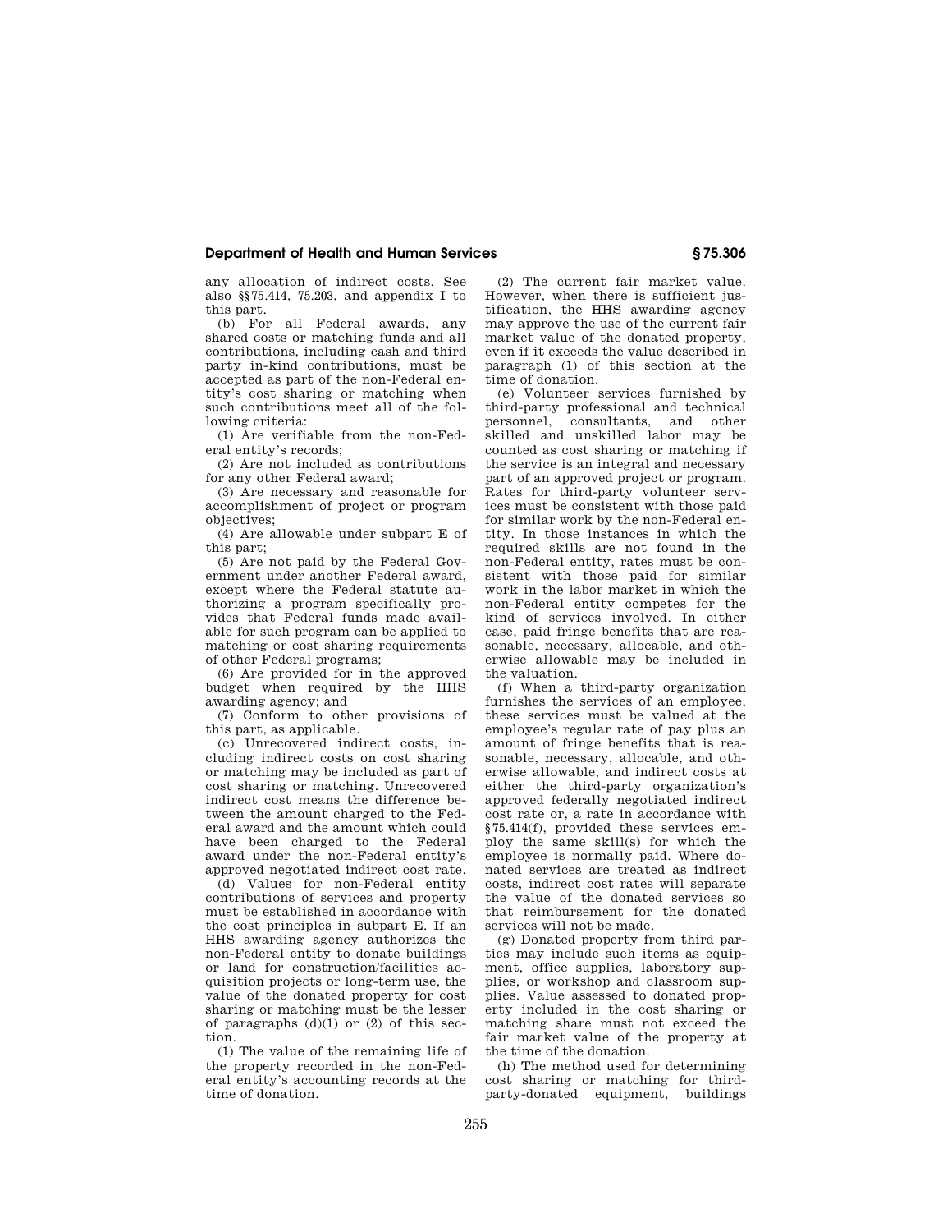## **Department of Health and Human Services § 75.306**

any allocation of indirect costs. See also §§75.414, 75.203, and appendix I to this part.

(b) For all Federal awards, any shared costs or matching funds and all contributions, including cash and third party in-kind contributions, must be accepted as part of the non-Federal entity's cost sharing or matching when such contributions meet all of the following criteria:

(1) Are verifiable from the non-Federal entity's records;

(2) Are not included as contributions for any other Federal award;

(3) Are necessary and reasonable for accomplishment of project or program objectives;

(4) Are allowable under subpart E of this part;

(5) Are not paid by the Federal Government under another Federal award, except where the Federal statute authorizing a program specifically provides that Federal funds made available for such program can be applied to matching or cost sharing requirements of other Federal programs;

(6) Are provided for in the approved budget when required by the HHS awarding agency; and

(7) Conform to other provisions of this part, as applicable.

(c) Unrecovered indirect costs, including indirect costs on cost sharing or matching may be included as part of cost sharing or matching. Unrecovered indirect cost means the difference between the amount charged to the Federal award and the amount which could have been charged to the Federal award under the non-Federal entity's approved negotiated indirect cost rate.

(d) Values for non-Federal entity contributions of services and property must be established in accordance with the cost principles in subpart E. If an HHS awarding agency authorizes the non-Federal entity to donate buildings or land for construction/facilities acquisition projects or long-term use, the value of the donated property for cost sharing or matching must be the lesser of paragraphs  $(d)(1)$  or  $(2)$  of this section.

(1) The value of the remaining life of the property recorded in the non-Federal entity's accounting records at the time of donation.

(2) The current fair market value. However, when there is sufficient justification, the HHS awarding agency may approve the use of the current fair market value of the donated property, even if it exceeds the value described in paragraph (1) of this section at the time of donation.

(e) Volunteer services furnished by third-party professional and technical personnel, consultants, and other skilled and unskilled labor may be counted as cost sharing or matching if the service is an integral and necessary part of an approved project or program. Rates for third-party volunteer services must be consistent with those paid for similar work by the non-Federal entity. In those instances in which the required skills are not found in the non-Federal entity, rates must be consistent with those paid for similar work in the labor market in which the non-Federal entity competes for the kind of services involved. In either case, paid fringe benefits that are reasonable, necessary, allocable, and otherwise allowable may be included in the valuation.

(f) When a third-party organization furnishes the services of an employee, these services must be valued at the employee's regular rate of pay plus an amount of fringe benefits that is reasonable, necessary, allocable, and otherwise allowable, and indirect costs at either the third-party organization's approved federally negotiated indirect cost rate or, a rate in accordance with §75.414(f), provided these services employ the same skill(s) for which the employee is normally paid. Where donated services are treated as indirect costs, indirect cost rates will separate the value of the donated services so that reimbursement for the donated services will not be made.

(g) Donated property from third parties may include such items as equipment, office supplies, laboratory supplies, or workshop and classroom supplies. Value assessed to donated property included in the cost sharing or matching share must not exceed the fair market value of the property at the time of the donation.

(h) The method used for determining cost sharing or matching for thirdparty-donated equipment, buildings